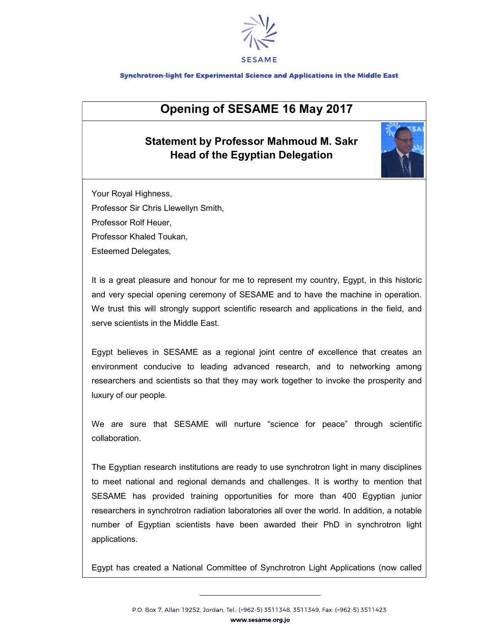

## Synchrotron-light for Experimental Science and Applications in the Middle East

## Opening of SESAME 16 May 2017

## Statement by Professor Mahmoud M. Sakr Head of the Egyptian Delegation



Your Royal Highness,

Professor Sir Chris Llewellyn Smith,

Professor Rolf Heuer,

Professor Khaled Toukan,

Esteemed Delegates,

It is a great pleasure and honour for me to represent my country, Egypt, in this historic and very special opening ceremony of SESAME and to have the machine in operation. We trust this will strongly support scientific research and applications in the field, and serve scientists in the Middle East.

Egypt believes in SESAME as a regional joint centre of excellence that creates an environment conducive to leading advanced research, and to networking among researchers and scientists so that they may work together to invoke the prosperity and luxury of our people.

We are sure that SESAME will nurture "science for peace" through scientific collaboration.

The Egyptian research institutions are ready to use synchrotron light in many disciplines to meet national and regional demands and challenges. It is worthy to mention that SESAME has provided training opportunities for more than 400 Egyptian junior researchers in synchrotron radiation laboratories all over the world. In addition, a notable number of Egyptian scientists have been awarded their PhD in synchrotron light applications.

Egypt has created a National Committee of Synchrotron Light Applications (now called